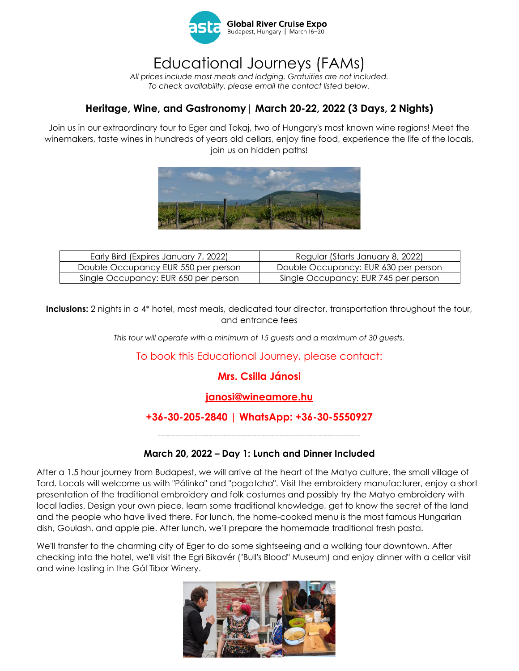

# Educational Journeys (FAMs)

*All prices include most meals and lodging. Gratuities are not included. To check availability, please email the contact listed below.*

## **Heritage, Wine, and Gastronomy| March 20-22, 2022 (3 Days, 2 Nights)**

Join us in our extraordinary tour to Eger and Tokaj, two of Hungary's most known wine regions! Meet the winemakers, taste wines in hundreds of years old cellars, enjoy fine food, experience the life of the locals, join us on hidden paths!



| Early Bird (Expires January 7, 2022) | Regular (Starts January 8, 2022)     |
|--------------------------------------|--------------------------------------|
| Double Occupancy EUR 550 per person  | Double Occupancy: EUR 630 per person |
| Single Occupancy: EUR 650 per person | Single Occupancy: EUR 745 per person |

**Inclusions:** 2 nights in a 4\* hotel, most meals, dedicated tour director, transportation throughout the tour, and entrance fees

*This tour will operate with a minimum of 15 guests and a maximum of 30 guests.*

To book this Educational Journey, please contact:

## **Mrs. Csilla Jánosi**

### **[janosi@wineamore.hu](mailto:janosi@wineamore.hu)**

### **+36-30-205-2840 | WhatsApp: +36-30-5550927**

*--------------------------------------------------------------------------------*

#### **March 20, 2022 – Day 1: Lunch and Dinner Included**

After a 1.5 hour journey from Budapest, we will arrive at the heart of the Matyo culture, the small village of Tard. Locals will welcome us with "Pálinka" and "pogatcha". Visit the embroidery manufacturer, enjoy a short presentation of the traditional embroidery and folk costumes and possibly try the Matyo embroidery with local ladies. Design your own piece, learn some traditional knowledge, get to know the secret of the land and the people who have lived there. For lunch, the home-cooked menu is the most famous Hungarian dish, Goulash, and apple pie. After lunch, we'll prepare the homemade traditional fresh pasta.

We'll transfer to the charming city of Eger to do some sightseeing and a walking tour downtown. After checking into the hotel, we'll visit the Egri Bikavér ("Bull's Blood" Museum) and enjoy dinner with a cellar visit and wine tasting in the Gál Tibor Winery.